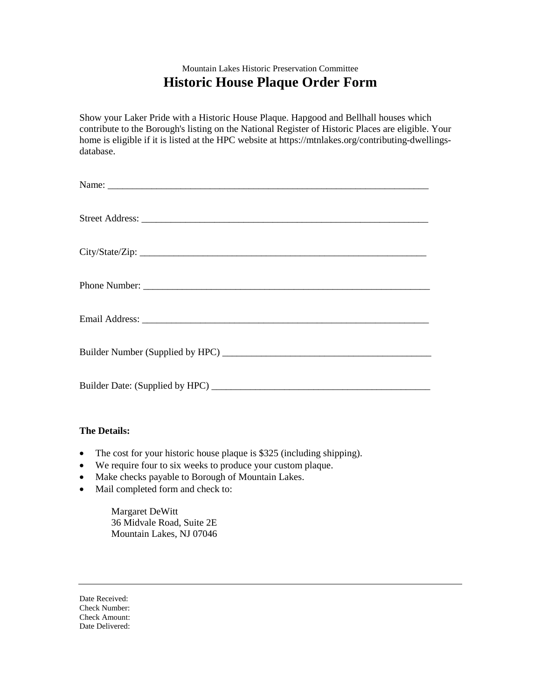## Mountain Lakes Historic Preservation Committee **Historic House Plaque Order Form**

Show your Laker Pride with a Historic House Plaque. Hapgood and Bellhall houses which contribute to the Borough's listing on the National Register of Historic Places are eligible. Your home is eligible if it is listed at the HPC website at https://mtnlakes.org/contributing-dwellingsdatabase.

| City/State/Zip: |
|-----------------|
|                 |
|                 |
|                 |
|                 |

## **The Details:**

- The cost for your historic house plaque is \$325 (including shipping).
- We require four to six weeks to produce your custom plaque.
- Make checks payable to Borough of Mountain Lakes.
- Mail completed form and check to:

Margaret DeWitt 36 Midvale Road, Suite 2E Mountain Lakes, NJ 07046

Date Received: Check Number: Check Amount: Date Delivered: